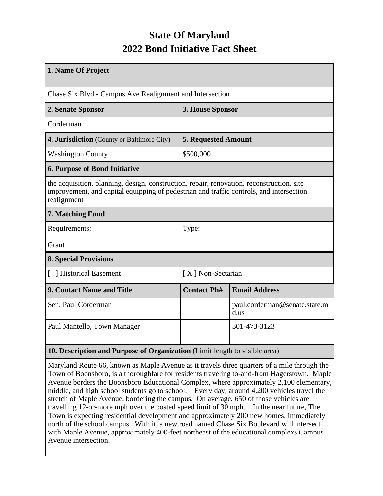## **State Of Maryland 2022 Bond Initiative Fact Sheet**

| 1. Name Of Project                                                                                                                                                                                  |                            |                                       |  |  |  |  |  |
|-----------------------------------------------------------------------------------------------------------------------------------------------------------------------------------------------------|----------------------------|---------------------------------------|--|--|--|--|--|
| Chase Six Blvd - Campus Ave Realignment and Intersection                                                                                                                                            |                            |                                       |  |  |  |  |  |
| 2. Senate Sponsor                                                                                                                                                                                   | 3. House Sponsor           |                                       |  |  |  |  |  |
| Corderman                                                                                                                                                                                           |                            |                                       |  |  |  |  |  |
| <b>4. Jurisdiction</b> (County or Baltimore City)                                                                                                                                                   | <b>5. Requested Amount</b> |                                       |  |  |  |  |  |
| <b>Washington County</b>                                                                                                                                                                            | \$500,000                  |                                       |  |  |  |  |  |
| <b>6. Purpose of Bond Initiative</b>                                                                                                                                                                |                            |                                       |  |  |  |  |  |
| the acquisition, planning, design, construction, repair, renovation, reconstruction, site<br>improvement, and capital equipping of pedestrian and traffic controls, and intersection<br>realignment |                            |                                       |  |  |  |  |  |
| 7. Matching Fund                                                                                                                                                                                    |                            |                                       |  |  |  |  |  |
| Requirements:                                                                                                                                                                                       | Type:                      |                                       |  |  |  |  |  |
| Grant                                                                                                                                                                                               |                            |                                       |  |  |  |  |  |
| <b>8. Special Provisions</b>                                                                                                                                                                        |                            |                                       |  |  |  |  |  |
| [ ] Historical Easement                                                                                                                                                                             | [X] Non-Sectarian          |                                       |  |  |  |  |  |
| 9. Contact Name and Title                                                                                                                                                                           | <b>Contact Ph#</b>         | <b>Email Address</b>                  |  |  |  |  |  |
| Sen. Paul Corderman                                                                                                                                                                                 |                            | paul.corderman@senate.state.m<br>d.us |  |  |  |  |  |
| Paul Mantello, Town Manager                                                                                                                                                                         |                            | 301-473-3123                          |  |  |  |  |  |
|                                                                                                                                                                                                     |                            |                                       |  |  |  |  |  |
| 10. Description and Purpose of Organization (Limit length to visible area)                                                                                                                          |                            |                                       |  |  |  |  |  |

Maryland Route 66, known as Maple Avenue as it travels three quarters of a mile through the Town of Boonsboro, is a thoroughfare for residents traveling to-and-from Hagerstown. Maple Avenue borders the Boonsboro Educational Complex, where approximately 2,100 elementary, middle, and high school students go to school. Every day, around 4,200 vehicles travel the stretch of Maple Avenue, bordering the campus. On average, 650 of those vehicles are travelling 12-or-more mph over the posted speed limit of 30 mph. In the near future, The Town is expecting residential development and approximately 200 new homes, immediately north of the school campus. With it, a new road named Chase Six Boulevard will intersect with Maple Avenue, approximately 400-feet northeast of the educational complexs Campus Avenue intersection.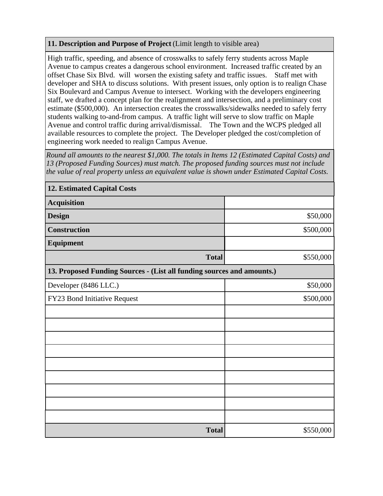## **11. Description and Purpose of Project** (Limit length to visible area)

High traffic, speeding, and absence of crosswalks to safely ferry students across Maple Avenue to campus creates a dangerous school environment. Increased traffic created by an offset Chase Six Blvd. will worsen the existing safety and traffic issues. Staff met with developer and SHA to discuss solutions. With present issues, only option is to realign Chase Six Boulevard and Campus Avenue to intersect. Working with the developers engineering staff, we drafted a concept plan for the realignment and intersection, and a preliminary cost estimate (\$500,000). An intersection creates the crosswalks/sidewalks needed to safely ferry students walking to-and-from campus. A traffic light will serve to slow traffic on Maple Avenue and control traffic during arrival/dismissal. The Town and the WCPS pledged all available resources to complete the project. The Developer pledged the cost/completion of engineering work needed to realign Campus Avenue.

*Round all amounts to the nearest \$1,000. The totals in Items 12 (Estimated Capital Costs) and 13 (Proposed Funding Sources) must match. The proposed funding sources must not include the value of real property unless an equivalent value is shown under Estimated Capital Costs.*

| <b>12. Estimated Capital Costs</b>                                     |           |  |  |  |  |  |
|------------------------------------------------------------------------|-----------|--|--|--|--|--|
| <b>Acquisition</b>                                                     |           |  |  |  |  |  |
| <b>Design</b>                                                          | \$50,000  |  |  |  |  |  |
| <b>Construction</b>                                                    | \$500,000 |  |  |  |  |  |
| Equipment                                                              |           |  |  |  |  |  |
| <b>Total</b>                                                           | \$550,000 |  |  |  |  |  |
| 13. Proposed Funding Sources - (List all funding sources and amounts.) |           |  |  |  |  |  |
| Developer (8486 LLC.)                                                  | \$50,000  |  |  |  |  |  |
| FY23 Bond Initiative Request                                           | \$500,000 |  |  |  |  |  |
|                                                                        |           |  |  |  |  |  |
|                                                                        |           |  |  |  |  |  |
|                                                                        |           |  |  |  |  |  |
|                                                                        |           |  |  |  |  |  |
|                                                                        |           |  |  |  |  |  |
|                                                                        |           |  |  |  |  |  |
|                                                                        |           |  |  |  |  |  |
|                                                                        |           |  |  |  |  |  |
|                                                                        |           |  |  |  |  |  |
| <b>Total</b>                                                           | \$550,000 |  |  |  |  |  |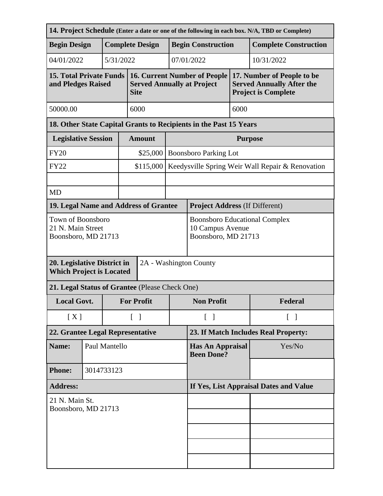| 14. Project Schedule (Enter a date or one of the following in each box. N/A, TBD or Complete) |  |                        |                                        |                                                                                         |                                                                                 |                                                  |                                                                                              |                              |  |
|-----------------------------------------------------------------------------------------------|--|------------------------|----------------------------------------|-----------------------------------------------------------------------------------------|---------------------------------------------------------------------------------|--------------------------------------------------|----------------------------------------------------------------------------------------------|------------------------------|--|
| <b>Begin Design</b>                                                                           |  | <b>Complete Design</b> |                                        |                                                                                         | <b>Begin Construction</b>                                                       |                                                  |                                                                                              | <b>Complete Construction</b> |  |
| 04/01/2022                                                                                    |  |                        | 5/31/2022                              |                                                                                         |                                                                                 | 07/01/2022                                       |                                                                                              | 10/31/2022                   |  |
| <b>15. Total Private Funds</b><br>and Pledges Raised                                          |  |                        |                                        | <b>16. Current Number of People</b><br><b>Served Annually at Project</b><br><b>Site</b> |                                                                                 |                                                  | 17. Number of People to be<br><b>Served Annually After the</b><br><b>Project is Complete</b> |                              |  |
| 50000.00                                                                                      |  |                        |                                        | 6000                                                                                    |                                                                                 | 6000                                             |                                                                                              |                              |  |
| 18. Other State Capital Grants to Recipients in the Past 15 Years                             |  |                        |                                        |                                                                                         |                                                                                 |                                                  |                                                                                              |                              |  |
| <b>Legislative Session</b>                                                                    |  |                        | <b>Amount</b>                          |                                                                                         | <b>Purpose</b>                                                                  |                                                  |                                                                                              |                              |  |
| <b>FY20</b>                                                                                   |  |                        |                                        | \$25,000<br><b>Boonsboro Parking Lot</b>                                                |                                                                                 |                                                  |                                                                                              |                              |  |
| <b>FY22</b>                                                                                   |  |                        | \$115,000                              |                                                                                         |                                                                                 | Keedysville Spring Weir Wall Repair & Renovation |                                                                                              |                              |  |
|                                                                                               |  |                        |                                        |                                                                                         |                                                                                 |                                                  |                                                                                              |                              |  |
| <b>MD</b>                                                                                     |  |                        |                                        |                                                                                         |                                                                                 |                                                  |                                                                                              |                              |  |
| 19. Legal Name and Address of Grantee                                                         |  |                        |                                        |                                                                                         |                                                                                 | <b>Project Address (If Different)</b>            |                                                                                              |                              |  |
| Town of Boonsboro<br>21 N. Main Street<br>Boonsboro, MD 21713                                 |  |                        |                                        |                                                                                         | <b>Boonsboro Educational Complex</b><br>10 Campus Avenue<br>Boonsboro, MD 21713 |                                                  |                                                                                              |                              |  |
| 2A - Washington County<br>20. Legislative District in<br><b>Which Project is Located</b>      |  |                        |                                        |                                                                                         |                                                                                 |                                                  |                                                                                              |                              |  |
| 21. Legal Status of Grantee (Please Check One)                                                |  |                        |                                        |                                                                                         |                                                                                 |                                                  |                                                                                              |                              |  |
| <b>Local Govt.</b>                                                                            |  |                        | <b>For Profit</b>                      |                                                                                         | <b>Non Profit</b>                                                               |                                                  | Federal                                                                                      |                              |  |
| [X]                                                                                           |  |                        | $\begin{bmatrix} 1 \end{bmatrix}$      |                                                                                         | $\begin{bmatrix} \end{bmatrix}$<br>$[\ ]$                                       |                                                  |                                                                                              |                              |  |
| 22. Grantee Legal Representative                                                              |  |                        |                                        |                                                                                         | 23. If Match Includes Real Property:                                            |                                                  |                                                                                              |                              |  |
| Name:                                                                                         |  | Paul Mantello          |                                        |                                                                                         | <b>Has An Appraisal</b><br><b>Been Done?</b>                                    |                                                  | Yes/No                                                                                       |                              |  |
| <b>Phone:</b>                                                                                 |  | 3014733123             |                                        |                                                                                         |                                                                                 |                                                  |                                                                                              |                              |  |
| <b>Address:</b>                                                                               |  |                        | If Yes, List Appraisal Dates and Value |                                                                                         |                                                                                 |                                                  |                                                                                              |                              |  |
| 21 N. Main St.<br>Boonsboro, MD 21713                                                         |  |                        |                                        |                                                                                         |                                                                                 |                                                  |                                                                                              |                              |  |
|                                                                                               |  |                        |                                        |                                                                                         |                                                                                 |                                                  |                                                                                              |                              |  |
|                                                                                               |  |                        |                                        |                                                                                         |                                                                                 |                                                  |                                                                                              |                              |  |
|                                                                                               |  |                        |                                        |                                                                                         |                                                                                 |                                                  |                                                                                              |                              |  |
|                                                                                               |  |                        |                                        |                                                                                         |                                                                                 |                                                  |                                                                                              |                              |  |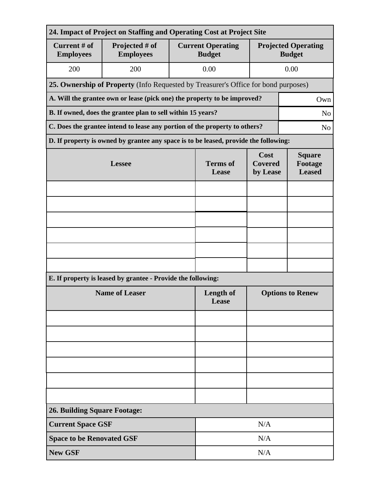| 24. Impact of Project on Staffing and Operating Cost at Project Site                         |                                                                                      |                          |                                           |                                                       |                                             |  |  |  |  |
|----------------------------------------------------------------------------------------------|--------------------------------------------------------------------------------------|--------------------------|-------------------------------------------|-------------------------------------------------------|---------------------------------------------|--|--|--|--|
| Current # of<br><b>Employees</b>                                                             | Projected # of<br><b>Employees</b>                                                   |                          | <b>Current Operating</b><br><b>Budget</b> |                                                       | <b>Projected Operating</b><br><b>Budget</b> |  |  |  |  |
| 200                                                                                          | 200                                                                                  |                          | 0.00                                      |                                                       | 0.00                                        |  |  |  |  |
|                                                                                              | 25. Ownership of Property (Info Requested by Treasurer's Office for bond purposes)   |                          |                                           |                                                       |                                             |  |  |  |  |
| A. Will the grantee own or lease (pick one) the property to be improved?<br>Own              |                                                                                      |                          |                                           |                                                       |                                             |  |  |  |  |
| B. If owned, does the grantee plan to sell within 15 years?<br>N <sub>o</sub>                |                                                                                      |                          |                                           |                                                       |                                             |  |  |  |  |
| C. Does the grantee intend to lease any portion of the property to others?<br>N <sub>o</sub> |                                                                                      |                          |                                           |                                                       |                                             |  |  |  |  |
|                                                                                              | D. If property is owned by grantee any space is to be leased, provide the following: |                          |                                           |                                                       |                                             |  |  |  |  |
|                                                                                              | <b>Lessee</b>                                                                        | <b>Terms</b> of<br>Lease | Cost<br><b>Covered</b>                    | <b>Square</b><br>Footage<br><b>Leased</b><br>by Lease |                                             |  |  |  |  |
|                                                                                              |                                                                                      |                          |                                           |                                                       |                                             |  |  |  |  |
|                                                                                              |                                                                                      |                          |                                           |                                                       |                                             |  |  |  |  |
|                                                                                              |                                                                                      |                          |                                           |                                                       |                                             |  |  |  |  |
|                                                                                              |                                                                                      |                          |                                           |                                                       |                                             |  |  |  |  |
|                                                                                              |                                                                                      |                          |                                           |                                                       |                                             |  |  |  |  |
|                                                                                              |                                                                                      |                          |                                           |                                                       |                                             |  |  |  |  |
|                                                                                              | E. If property is leased by grantee - Provide the following:                         |                          |                                           |                                                       |                                             |  |  |  |  |
|                                                                                              | <b>Name of Leaser</b>                                                                | Length of<br>Lease       | <b>Options to Renew</b>                   |                                                       |                                             |  |  |  |  |
|                                                                                              |                                                                                      |                          |                                           |                                                       |                                             |  |  |  |  |
|                                                                                              |                                                                                      |                          |                                           |                                                       |                                             |  |  |  |  |
|                                                                                              |                                                                                      |                          |                                           |                                                       |                                             |  |  |  |  |
|                                                                                              |                                                                                      |                          |                                           |                                                       |                                             |  |  |  |  |
|                                                                                              |                                                                                      |                          |                                           |                                                       |                                             |  |  |  |  |
|                                                                                              |                                                                                      |                          |                                           |                                                       |                                             |  |  |  |  |
| <b>26. Building Square Footage:</b>                                                          |                                                                                      |                          |                                           |                                                       |                                             |  |  |  |  |
| <b>Current Space GSF</b>                                                                     |                                                                                      | N/A                      |                                           |                                                       |                                             |  |  |  |  |
| <b>Space to be Renovated GSF</b>                                                             |                                                                                      | N/A                      |                                           |                                                       |                                             |  |  |  |  |
| <b>New GSF</b>                                                                               |                                                                                      | N/A                      |                                           |                                                       |                                             |  |  |  |  |